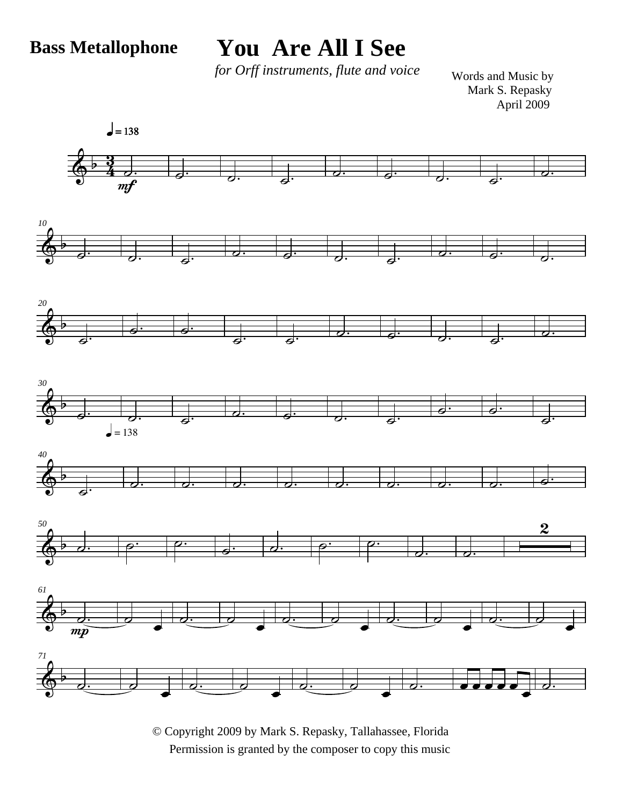## **Bass Metallophone**

## **You Are All I See**

*for Orff instruments, flute and voice*

Mark S. Repasky April 2009 Words and Music by



© Copyright 2009 by Mark S. Repasky, Tallahassee, Florida Permission is granted by the composer to copy this music